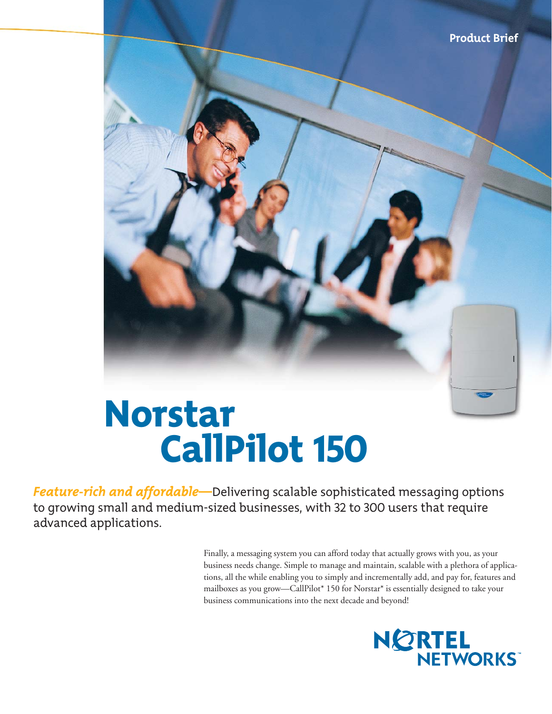

# Norstar CallPilot 150

*Feature-rich and affordable—*Delivering scalable sophisticated messaging options to growing small and medium-sized businesses, with 32 to 300 users that require advanced applications.

> Finally, a messaging system you can afford today that actually grows with you, as your business needs change. Simple to manage and maintain, scalable with a plethora of applications, all the while enabling you to simply and incrementally add, and pay for, features and mailboxes as you grow—CallPilot\* 150 for Norstar\* is essentially designed to take your business communications into the next decade and beyond!

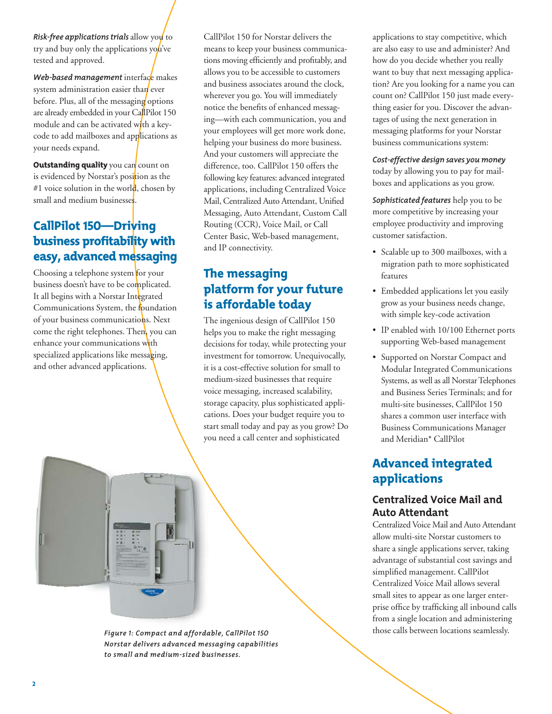*Risk-free applications trials allow you* to try and buy only the applications you've tested and approved.

*Web-based management* interface makes system administration easier than ever before. Plus, all of the messaging options are already embedded in your CallPilot 150 module and can be activated with a keycode to add mailboxes and applications as your needs expand.

**Outstanding quality** you can count on is evidenced by Norstar's position as the #1 voice solution in the world, chosen by small and medium businesses.

### CallPilot 150—Driving business profitability with easy, advanced messaging

Choosing a telephone system for your business doesn't have to be complicated. It all begins with a Norstar Integrated Communications System, the foundation of your business communications. Next come the right telephones. Then, you can enhance your communications with specialized applications like messaging, and other advanced applications.

CallPilot 150 for Norstar delivers the means to keep your business communications moving efficiently and profitably, and allows you to be accessible to customers and business associates around the clock, wherever you go. You will immediately notice the benefits of enhanced messaging—with each communication, you and your employees will get more work done, helping your business do more business. And your customers will appreciate the difference, too. CallPilot 150 offers the following key features: advanced integrated applications, including Centralized Voice Mail, Centralized Auto Attendant, Unified Messaging, Auto Attendant, Custom Call Routing (CCR), Voice Mail, or Call Center Basic, Web-based management, and IP connectivity.

### The messaging platform for your future is affordable today

The ingenious design of CallPilot 150 helps you to make the right messaging decisions for today, while protecting your investment for tomorrow. Unequivocally, it is a cost-effective solution for small to medium-sized businesses that require voice messaging, increased scalability, storage capacity, plus sophisticated applications. Does your budget require you to start small today and pay as you grow? Do you need a call center and sophisticated

applications to stay competitive, which are also easy to use and administer? And how do you decide whether you really want to buy that next messaging application? Are you looking for a name you can count on? CallPilot 150 just made everything easier for you. Discover the advantages of using the next generation in messaging platforms for your Norstar business communications system:

*Cost-effective design saves you money* today by allowing you to pay for mailboxes and applications as you grow.

*Sophisticated features* help you to be more competitive by increasing your employee productivity and improving customer satisfaction.

- Scalable up to 300 mailboxes, with a migration path to more sophisticated features
- Embedded applications let you easily grow as your business needs change, with simple key-code activation
- IP enabled with 10/100 Ethernet ports supporting Web-based management
- Supported on Norstar Compact and Modular Integrated Communications Systems, as well as all Norstar Telephones and Business Series Terminals; and for multi-site businesses, CallPilot 150 shares a common user interface with Business Communications Manager and Meridian\* CallPilot

#### Advanced integrated applications

#### **Centralized Voice Mail and Auto Attendant**

Centralized Voice Mail and Auto Attendant allow multi-site Norstar customers to share a single applications server, taking advantage of substantial cost savings and simplified management. CallPilot Centralized Voice Mail allows several small sites to appear as one larger enterprise office by trafficking all inbound calls from a single location and administering those calls between locations seamlessly.

*Figure 1: Compact and affordable, CallPilot 150 Norstar delivers advanced messaging capabilities to small and medium-sized businesses.*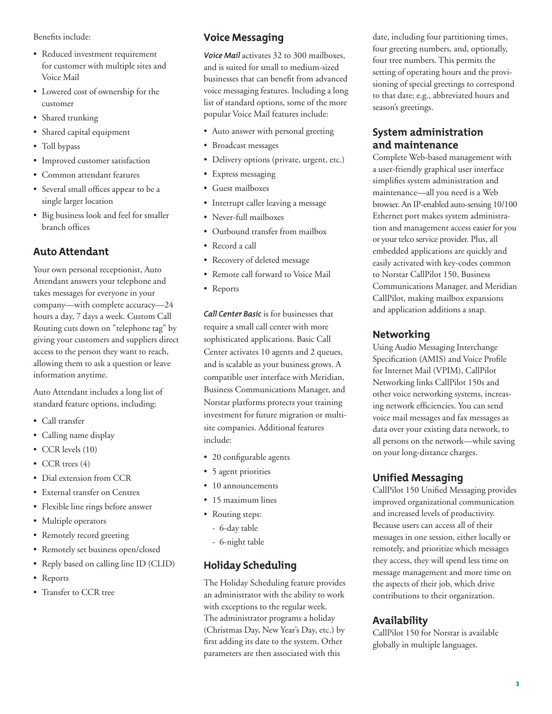Benefits include:

- Reduced investment requirement for customer with multiple sites and Voice Mail
- Lowered cost of ownership for the customer
- Shared trunking
- Shared capital equipment
- Toll bypass
- Improved customer satisfaction
- Common attendant features
- Several small offices appear to be a single larger location
- Big business look and feel for smaller branch offices

#### **Auto Attendant**

Your own personal receptionist, Auto Attendant answers your telephone and takes messages for everyone in your company—with complete accuracy—24 hours a day, 7 days a week. Custom Call Routing cuts down on "telephone tag" by giving your customers and suppliers direct access to the person they want to reach, allowing them to ask a question or leave information anytime.

Auto Attendant includes a long list of standard feature options, including:

- Call transfer
- Calling name display
- CCR levels (10)
- CCR trees (4)
- Dial extension from CCR
- External transfer on Centrex
- Flexible line rings before answer
- Multiple operators
- Remotely record greeting
- Remotely set business open/closed
- Reply based on calling line ID (CLID)
- Reports
- Transfer to CCR tree

#### **Voice Messaging**

*Voice Mail* activates 32 to 300 mailboxes, and is suited for small to medium-sized businesses that can benefit from advanced voice messaging features. Including a long list of standard options, some of the more popular Voice Mail features include:

- Auto answer with personal greeting
- Broadcast messages
- Delivery options (private, urgent, etc.)
- Express messaging
- Guest mailboxes
- Interrupt caller leaving a message
- Never-full mailboxes
- Outbound transfer from mailbox
- Record a call
- Recovery of deleted message
- Remote call forward to Voice Mail
- Reports

*Call Center Basic* is for businesses that require a small call center with more sophisticated applications. Basic Call Center activates 10 agents and 2 queues, and is scalable as your business grows. A compatible user interface with Meridian, Business Communications Manager, and Norstar platforms protects your training investment for future migration or multisite companies. Additional features include:

- 20 configurable agents
- 5 agent priorities
- 10 announcements
- 15 maximum lines
- Routing steps:
	- 6-day table
	- 6-night table

#### **Holiday Scheduling**

The Holiday Scheduling feature provides an administrator with the ability to work with exceptions to the regular week. The administrator programs a holiday (Christmas Day, New Year's Day, etc.) by first adding its date to the system. Other parameters are then associated with this

date, including four partitioning times, four greeting numbers, and, optionally, four tree numbers. This permits the setting of operating hours and the provisioning of special greetings to correspond to that date; e.g., abbreviated hours and season's greetings.

#### **System administration and maintenance**

Complete Web-based management with a user-friendly graphical user interface simplifies system administration and maintenance—all you need is a Web browser. An IP-enabled auto-sensing 10/100 Ethernet port makes system administration and management access easier for you or your telco service provider. Plus, all embedded applications are quickly and easily activated with key-codes common to Norstar CallPilot 150, Business Communications Manager, and Meridian CallPilot, making mailbox expansions and application additions a snap.

#### **Networking**

Using Audio Messaging Interchange Specification (AMIS) and Voice Profile for Internet Mail (VPIM), CallPilot Networking links CallPilot 150s and other voice networking systems, increasing network efficiencies. You can send voice mail messages and fax messages as data over your existing data network, to all persons on the network—while saving on your long-distance charges.

#### **Unified Messaging**

CallPilot 150 Unified Messaging provides improved organizational communication and increased levels of productivity. Because users can access all of their messages in one session, either locally or remotely, and prioritize which messages they access, they will spend less time on message management and more time on the aspects of their job, which drive contributions to their organization.

#### **Availability**

CallPilot 150 for Norstar is available globally in multiple languages.